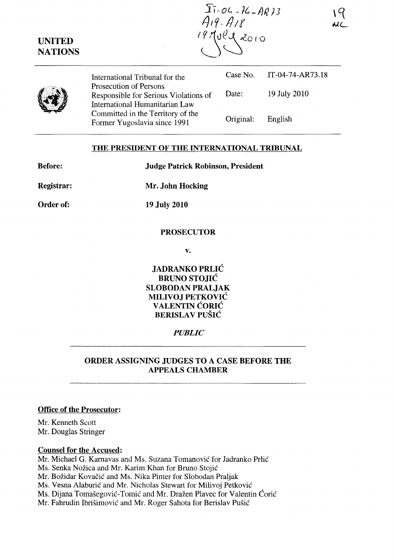IT-04-14-AR13<br>A19-A18<br>17 July 2010

International Tribunal for the Prosecution of Persons Case No. IT-04-74-AR73.18 Responsible for Serious Violations of International Humanitarian Law Committed in the Territory of the Former Yugoslavia since 1991 Date: Original: 19 July 2010 English

#### **THE PRESIDENT OF THE INTERNATIONAL TRIBUNAL**

| <b>Before:</b>    | <b>Judge Patrick Robinson, President</b> |
|-------------------|------------------------------------------|
| <b>Registrar:</b> | Mr. John Hocking                         |
| Order of:         | <b>19 July 2010</b>                      |
|                   | <b>PROSECUTOR</b>                        |

**v.** 

**JADRANKO PRLIC BRUNO STOJIC SLOBODAN PRALJAK MILIVOJ PETKOVIC V ALENTIN CORIC BERISLAV PUŠIĆ** 

### *PUBLIC*

# **ORDER ASSIGNING JUDGES TO A CASE BEFORE THE APPEALS CHAMBER**

#### **Office of the Prosecutor:**

Mr. Kenneth Scott Mr. Douglas Stringer

#### **Counsel for the Accused:**

Mr. Michael G. Karnavas and Ms. Suzana Tomanovic for Jadranko Prlic

Ms. Senka Nožica and Mr. Karim Khan for Bruno Stojić

Mr. Božidar Kovačić and Ms. Nika Pinter for Slobodan Praljak

Ms. Vesna Alaburic and Mr. Nicholas Stewart for Milivoj Petkovic

Ms. Dijana Tomašegović-Tomić and Mr. Dražen Plavec for Valentin Ćorić

Mr. Fahrudin Ibrisimovic and Mr. Roger Sahota for Berislav Pusic

**UNITED NATIONS**